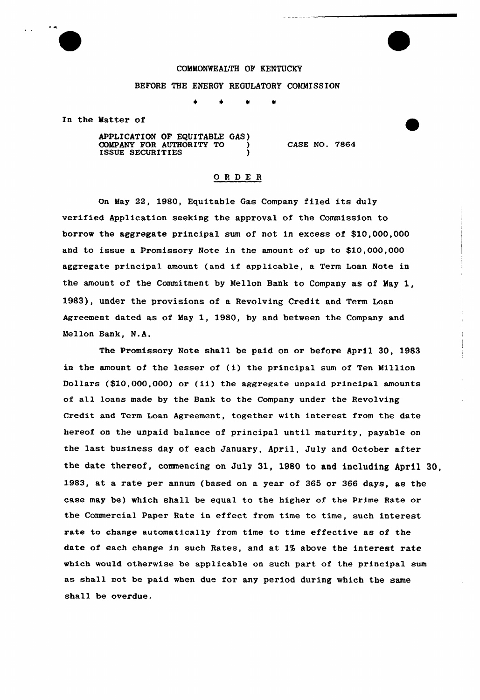

## COMMONWEALTH OF KENTUCKY

## BEFORE THE ENERGY REGULATORY COMMISSION

 $\Delta$ 

In the Matter of

APPLICATION OF EQUITABLE GAS) COMPANY FOR AUTHORITY TO ISSUE SECURITIES ) CASE NO. 7864

## ORDE <sup>R</sup>

On May 22, 1980, Equitable Gas Company filed its duly verified Application seeking the approval of the Commission to borrow the aggregate principal sum of not in excess of \$10,000,000 and to issue a Promissory Note in the amount of up to \$10,000,000 aggregate principal amount (and if applicable, a Term Loan Note in the amount of the Commitment by Mellon Bank to Company as of May 1, 1983), under the provisions of a Revolving Credit and Term Loan Agreement dated as of May 1, 1980, by and between the Company and Mellon Bank, N.A.

The Promissory Note shall be paid on or before April 30, 1983 in the amount of the lesser of (i) the principal sum of Ten Million Dollars (\$10,000,000) or (ii) the aggregate unpaid principal amounts of all loans made by the Bank to the Company under the Revolving Credit and Term Loan Agreement, together with interest from the date hereof on the unpaid balance of principal until maturity, payable on the last business day of each January, April, July and October after the date thereof, commencing on July 31, 1980 to and including April 30, 1983, at a rate per annum (based on a year of 365 or 366 days, as the case may be) which shall be equal to the higher of the Prime Rate or the Commercial Paper Rate in effect from time to time, such interest rate to change automatically from time to time effective as of the date of each change in such Rates, and at 1% above the interest rate which would otherwise be applicable on such part of the principal sum as shall not be paid when due for any period during which the same shall be overdue.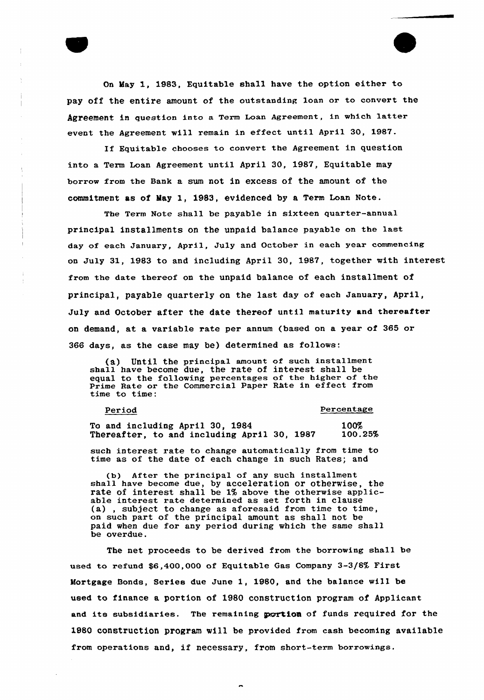On May 1, 1983, Equitable shall have the option eithex to pay off the entire amount of the outstanding loan or to convert the Agreement in question into a Term Loan Agreement, in which latter event the Agreement will remain in effect until April 30, 1987.

If Equitable chooses to convert the Agreement in question into a Term Loan Agreement until April 30, 1987, Equitable may borrow from the Bank a sum not in excess of the amount of the commitment as of May 1, 1983, evidenced by a Term Loan Note.

The Term Note shall be payable in sixteen quarter-annual principal installments on the unpaid balance payable on the last day of each January, April, July and October in each year commencing on July 31, 1983 to and including April 30, 1987, together with interest from the date thereof on the unpaid balance of each installment of principal, payable quarterly on the last day of each January, April, July and October after the date thereof until maturity and thereafter on demand, at a variable rate per annum {based on a year of 365 or 366 days, as the case may be) determined as follows:

(a) Until the principal amount of such installment shall have become due, the rate of interest shall be equal to the following percentages of the higher of the Prime Rate or the Commercial Paper Rkte in effect from time to time:

Period Percentage

To and including April 30, 1984 100%<br>Thereafter, to and including April 30, 1987 100.25% Thereafter, to and including April 30, 1987

such interest rate to change automatically from time to time as of the date of each change in such Rates; and

(b) After the principal of any such installment shall have become due, by acceleration or otherwise, the rate of interest shall be 1% above the otherwise applicable interest rate determined as set forth in clause (a), subject to change as aforesaid from time to time on such part of the principal amount as shall not be paid when due for any period during which the same shall be overdue.

The net proceeds to be derived from the borrowing shall be used to refund \$6,400,000 of Equitable Gas Company 3-3/8% First Mortgage Bonds, Series due June 1, 1980, and the balance will be used to finance a portion of 1980 construction program of Applicant and its subsidiaries. The remaining portion of funds required for the 1980 construction program will be provided from cash becoming available from operations and, if necessary, from short-term borrowings.